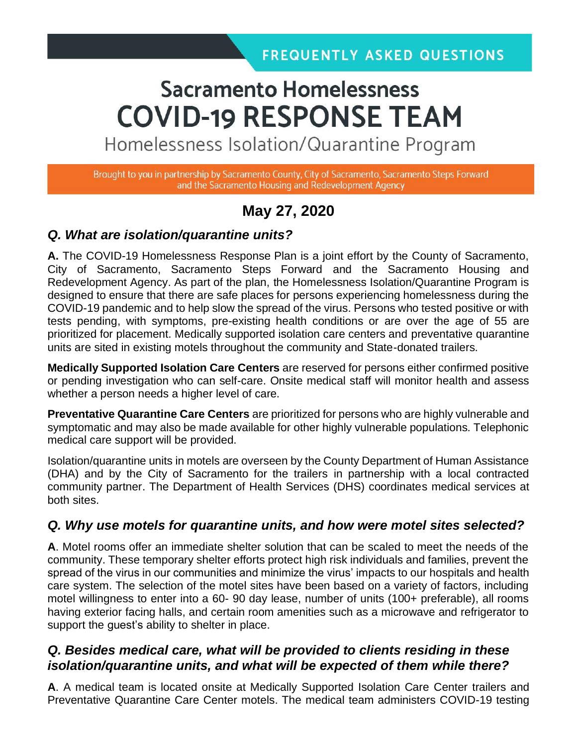# **Sacramento Homelessness COVID-19 RESPONSE TEAM**

Homelessness Isolation/Quarantine Program

Brought to you in partnership by Sacramento County, City of Sacramento, Sacramento Steps Forward and the Sacramento Housing and Redevelopment Agency

# **May 27, 2020**

#### *Q. What are isolation/quarantine units?*

**A.** The COVID-19 Homelessness Response Plan is a joint effort by the County of Sacramento, City of Sacramento, Sacramento Steps Forward and the Sacramento Housing and Redevelopment Agency. As part of the plan, the Homelessness Isolation/Quarantine Program is designed to ensure that there are safe places for persons experiencing homelessness during the COVID-19 pandemic and to help slow the spread of the virus. Persons who tested positive or with tests pending, with symptoms, pre-existing health conditions or are over the age of 55 are prioritized for placement. Medically supported isolation care centers and preventative quarantine units are sited in existing motels throughout the community and State-donated trailers.

**Medically Supported Isolation Care Centers** are reserved for persons either confirmed positive or pending investigation who can self-care. Onsite medical staff will monitor health and assess whether a person needs a higher level of care.

**Preventative Quarantine Care Centers** are prioritized for persons who are highly vulnerable and symptomatic and may also be made available for other highly vulnerable populations. Telephonic medical care support will be provided.

Isolation/quarantine units in motels are overseen by the County Department of Human Assistance (DHA) and by the City of Sacramento for the trailers in partnership with a local contracted community partner. The Department of Health Services (DHS) coordinates medical services at both sites.

#### *Q. Why use motels for quarantine units, and how were motel sites selected?*

**A**. Motel rooms offer an immediate shelter solution that can be scaled to meet the needs of the community. These temporary shelter efforts protect high risk individuals and families, prevent the spread of the virus in our communities and minimize the virus' impacts to our hospitals and health care system. The selection of the motel sites have been based on a variety of factors, including motel willingness to enter into a 60- 90 day lease, number of units (100+ preferable), all rooms having exterior facing halls, and certain room amenities such as a microwave and refrigerator to support the guest's ability to shelter in place.

## *Q. Besides medical care, what will be provided to clients residing in these isolation/quarantine units, and what will be expected of them while there?*

**A**. A medical team is located onsite at Medically Supported Isolation Care Center trailers and Preventative Quarantine Care Center motels. The medical team administers COVID-19 testing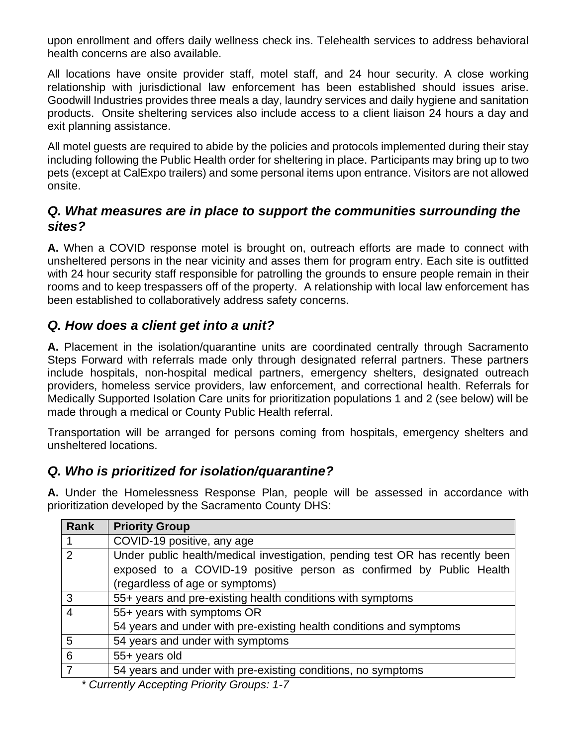upon enrollment and offers daily wellness check ins. Telehealth services to address behavioral health concerns are also available.

All locations have onsite provider staff, motel staff, and 24 hour security. A close working relationship with jurisdictional law enforcement has been established should issues arise. Goodwill Industries provides three meals a day, laundry services and daily hygiene and sanitation products. Onsite sheltering services also include access to a client liaison 24 hours a day and exit planning assistance.

All motel guests are required to abide by the policies and protocols implemented during their stay including following the Public Health order for sheltering in place. Participants may bring up to two pets (except at CalExpo trailers) and some personal items upon entrance. Visitors are not allowed onsite.

## *Q. What measures are in place to support the communities surrounding the sites?*

**A.** When a COVID response motel is brought on, outreach efforts are made to connect with unsheltered persons in the near vicinity and asses them for program entry. Each site is outfitted with 24 hour security staff responsible for patrolling the grounds to ensure people remain in their rooms and to keep trespassers off of the property. A relationship with local law enforcement has been established to collaboratively address safety concerns.

## *Q. How does a client get into a unit?*

**A.** Placement in the isolation/quarantine units are coordinated centrally through Sacramento Steps Forward with referrals made only through designated referral partners. These partners include hospitals, non-hospital medical partners, emergency shelters, designated outreach providers, homeless service providers, law enforcement, and correctional health. Referrals for Medically Supported Isolation Care units for prioritization populations 1 and 2 (see below) will be made through a medical or County Public Health referral.

Transportation will be arranged for persons coming from hospitals, emergency shelters and unsheltered locations.

## *Q. Who is prioritized for isolation/quarantine?*

**A.** Under the Homelessness Response Plan, people will be assessed in accordance with prioritization developed by the Sacramento County DHS:

| Rank           | <b>Priority Group</b>                                                        |
|----------------|------------------------------------------------------------------------------|
|                | COVID-19 positive, any age                                                   |
| 2              | Under public health/medical investigation, pending test OR has recently been |
|                | exposed to a COVID-19 positive person as confirmed by Public Health          |
|                | (regardless of age or symptoms)                                              |
| $\mathbf{3}$   | 55+ years and pre-existing health conditions with symptoms                   |
| $\overline{4}$ | 55+ years with symptoms OR                                                   |
|                | 54 years and under with pre-existing health conditions and symptoms          |
| 5              | 54 years and under with symptoms                                             |
| 6              | 55+ years old                                                                |
|                | 54 years and under with pre-existing conditions, no symptoms                 |
|                |                                                                              |

*\* Currently Accepting Priority Groups: 1-7*